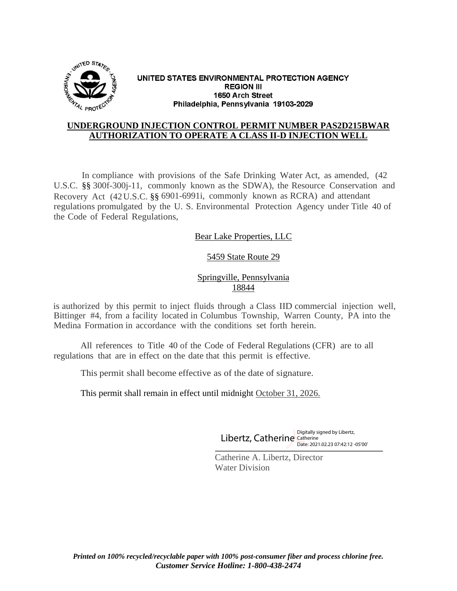

#### UNITED STATES ENVIRONMENTAL PROTECTION AGENCY **REGION III** 1650 Arch Street Philadelphia, Pennsylvania 19103-2029

#### **UNDERGROUND INJECTION CONTROL PERMIT NUMBER PAS2D215BWAR AUTHORIZATION TO OPERATE A CLASS II-D INJECTION WELL**

In compliance with provisions of the Safe Drinking Water Act, as amended, (42 U.S.C. §§ 300f-300j-11, commonly known as the SDWA), the Resource Conservation and Recovery Act (42U.S.C. §§ 6901-6991i, commonly known as RCRA) and attendant regulations promulgated by the U. S. Environmental Protection Agency under Title 40 of the Code of Federal Regulations,

Bear Lake Properties, LLC

# 5459 State Route 29

Springville, Pennsylvania 18844

is authorized by this permit to inject fluids through a Class IID commercial injection well, Bittinger #4, from a facility located in Columbus Township, Warren County, PA into the Medina Formation in accordance with the conditions set forth herein.

All references to Title 40 of the Code of Federal Regulations (CFR) are to all regulations that are in effect on the date that this permit is effective.

l

This permit shall become effective as of the date of signature.

This permit shall remain in effect until midnight October 31, 2026.

Digitally signed by Libertz, Catherine Catherine Date: 2021.02.23 07:42:12 -05'00'

Catherine A. Libertz, Director Water Division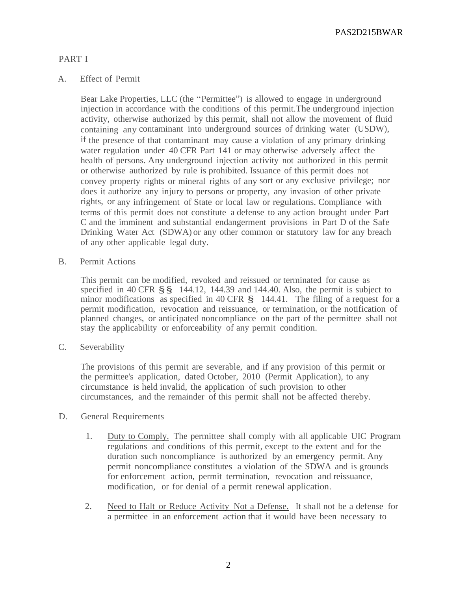PAS2D215BWAR

# PART I

## A. Effect of Permit

Bear Lake Properties, LLC (the "Permittee") is allowed to engage in underground injection in accordance with the conditions of this permit.The underground injection activity, otherwise authorized by this permit, shall not allow the movement of fluid containing any contaminant into underground sources of drinking water (USDW), if the presence of that contaminant may cause a violation of any primary drinking water regulation under 40 CFR Part 141 or may otherwise adversely affect the health of persons. Any underground injection activity not authorized in this permit or otherwise authorized by rule is prohibited. Issuance of this permit does not convey property rights or mineral rights of any sort or any exclusive privilege; nor does it authorize any injury to persons or property, any invasion of other private rights, or any infringement of State or local law or regulations. Compliance with terms of this permit does not constitute a defense to any action brought under Part C and the imminent and substantial endangerment provisions in Part D of the Safe Drinking Water Act (SDWA) or any other common or statutory law for any breach of any other applicable legal duty.

B. Permit Actions

This permit can be modified, revoked and reissued or terminated for cause as specified in 40 CFR §§ 144.12, 144.39 and 144.40. Also, the permit is subject to minor modifications as specified in 40 CFR § 144.41. The filing of a request for a permit modification, revocation and reissuance, or termination, or the notification of planned changes, or anticipated noncompliance on the part of the permittee shall not stay the applicability or enforceability of any permit condition.

C. Severability

The provisions of this permit are severable, and if any provision of this permit or the permittee's application, dated October, 2010 (Permit Application), to any circumstance is held invalid, the application of such provision to other circumstances, and the remainder of this permit shall not be affected thereby.

- D. General Requirements
	- 1. Duty to Comply. The permittee shall comply with all applicable UIC Program regulations and conditions of this permit, except to the extent and for the duration such noncompliance is authorized by an emergency permit. Any permit noncompliance constitutes a violation of the SDWA and is grounds for enforcement action, permit termination, revocation and reissuance, modification, or for denial of a permit renewal application.
	- 2. Need to Halt or Reduce Activity Not a Defense. It shall not be a defense for a permittee in an enforcement action that it would have been necessary to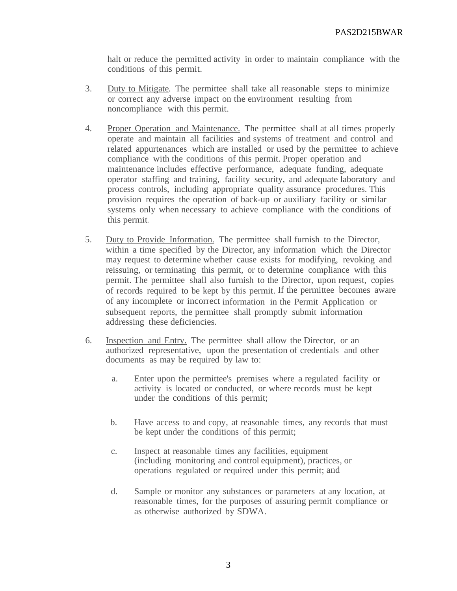halt or reduce the permitted activity in order to maintain compliance with the conditions of this permit.

- 3. Duty to Mitigate. The permittee shall take all reasonable steps to minimize or correct any adverse impact on the environment resulting from noncompliance with this permit.
- 4. Proper Operation and Maintenance. The permittee shall at all times properly operate and maintain all facilities and systems of treatment and control and related appurtenances which are installed or used by the permittee to achieve compliance with the conditions of this permit. Proper operation and maintenance includes effective performance, adequate funding, adequate operator staffing and training, facility security, and adequate laboratory and process controls, including appropriate quality assurance procedures. This provision requires the operation of back-up or auxiliary facility or similar systems only when necessary to achieve compliance with the conditions of this permit.
- 5. Duty to Provide Information. The permittee shall furnish to the Director, within a time specified by the Director, any information which the Director may request to determine whether cause exists for modifying, revoking and reissuing, or terminating this permit, or to determine compliance with this permit. The permittee shall also furnish to the Director, upon request, copies of records required to be kept by this permit. If the permittee becomes aware of any incomplete or incorrect information in the Permit Application or subsequent reports, the permittee shall promptly submit information addressing these deficiencies.
- 6. Inspection and Entry. The permittee shall allow the Director, or an authorized representative, upon the presentation of credentials and other documents as may be required by law to:
	- a. Enter upon the permittee's premises where a regulated facility or activity is located or conducted, or where records must be kept under the conditions of this permit;
	- b. Have access to and copy, at reasonable times, any records that must be kept under the conditions of this permit;
	- c. Inspect at reasonable times any facilities, equipment (including monitoring and control equipment), practices, or operations regulated or required under this permit; and
	- d. Sample or monitor any substances or parameters at any location, at reasonable times, for the purposes of assuring permit compliance or as otherwise authorized by SDWA.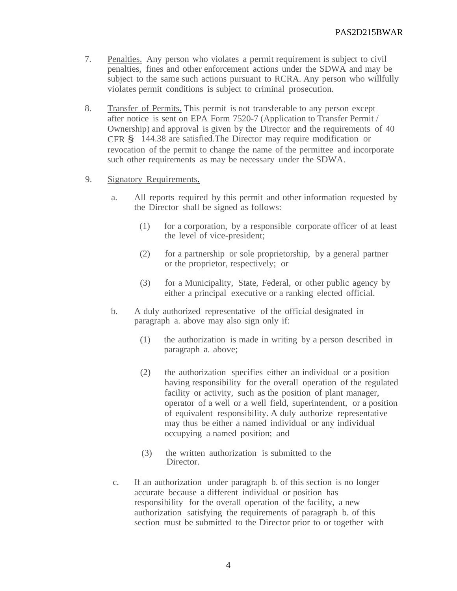- 7. Penalties. Any person who violates a permit requirement is subject to civil penalties, fines and other enforcement actions under the SDWA and may be subject to the same such actions pursuant to RCRA. Any person who willfully violates permit conditions is subject to criminal prosecution.
- 8. Transfer of Permits. This permit is not transferable to any person except after notice is sent on EPA Form 7520-7 (Application to Transfer Permit / Ownership) and approval is given by the Director and the requirements of 40 CFR § 144.38 are satisfied.The Director may require modification or revocation of the permit to change the name of the permittee and incorporate such other requirements as may be necessary under the SDWA.
- 9. Signatory Requirements.
	- a. All reports required by this permit and other information requested by the Director shall be signed as follows:
		- (1) for a corporation, by a responsible corporate officer of at least the level of vice-president;
		- (2) for a partnership or sole proprietorship, by a general partner or the proprietor, respectively; or
		- (3) for a Municipality, State, Federal, or other public agency by either a principal executive or a ranking elected official.
	- b. A duly authorized representative of the official designated in paragraph a. above may also sign only if:
		- (1) the authorization is made in writing by a person described in paragraph a. above;
		- (2) the authorization specifies either an individual or a position having responsibility for the overall operation of the regulated facility or activity, such as the position of plant manager, operator of a well or a well field, superintendent, or a position of equivalent responsibility. A duly authorize representative may thus be either a named individual or any individual occupying a named position; and
		- (3) the written authorization is submitted to the Director.
	- c. If an authorization under paragraph b. of this section is no longer accurate because a different individual or position has responsibility for the overall operation of the facility, a new authorization satisfying the requirements of paragraph b. of this section must be submitted to the Director prior to or together with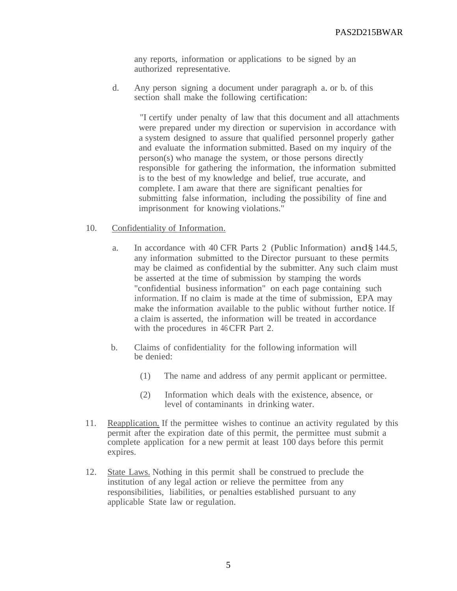any reports, information or applications to be signed by an authorized representative.

d. Any person signing a document under paragraph a. or b. of this section shall make the following certification:

"I certify under penalty of law that this document and all attachments were prepared under my direction or supervision in accordance with a system designed to assure that qualified personnel properly gather and evaluate the information submitted. Based on my inquiry of the person(s) who manage the system, or those persons directly responsible for gathering the information, the information submitted is to the best of my knowledge and belief, true accurate, and complete. I am aware that there are significant penalties for submitting false information, including the possibility of fine and imprisonment for knowing violations."

#### 10. Confidentiality of Information.

- a. In accordance with 40 CFR Parts 2 (Public Information) and§144.5, any information submitted to the Director pursuant to these permits may be claimed as confidential by the submitter. Any such claim must be asserted at the time of submission by stamping the words "confidential business information" on each page containing such information. If no claim is made at the time of submission, EPA may make the information available to the public without further notice. If a claim is asserted, the information will be treated in accordance with the procedures in 46 CFR Part 2.
- b. Claims of confidentiality for the following information will be denied:
	- (1) The name and address of any permit applicant or permittee.
	- (2) Information which deals with the existence, absence, or level of contaminants in drinking water.
- 11. Reapplication. If the permittee wishes to continue an activity regulated by this permit after the expiration date of this permit, the permittee must submit a complete application for a new permit at least 100 days before this permit expires.
- 12. State Laws. Nothing in this permit shall be construed to preclude the institution of any legal action or relieve the permittee from any responsibilities, liabilities, or penalties established pursuant to any applicable State law or regulation.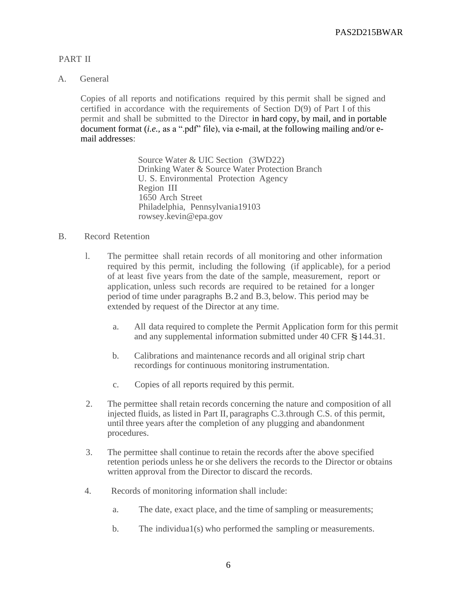# PART II

## A. General

Copies of all reports and notifications required by this permit shall be signed and certified in accordance with the requirements of Section D(9) of Part I of this permit and shall be submitted to the Director in hard copy, by mail, and in portable document format *(i.e.,* as a ".pdf" file), via e-mail, at the following mailing and/or email addresses:

> Source Water & UIC Section (3WD22) Drinking Water & Source Water Protection Branch U. S. Environmental Protection Agency Region III 1650 Arch Street Philadelphia, Pennsylvania19103 rowsey.kevin@epa.gov

## B. Record Retention

- l. The permittee shall retain records of all monitoring and other information required by this permit, including the following (if applicable), for a period of at least five years from the date of the sample, measurement, report or application, unless such records are required to be retained for a longer period of time under paragraphs B.2 and B.3, below. This period may be extended by request of the Director at any time.
	- a. All data required to complete the Permit Application form for this permit and any supplemental information submitted under <sup>40</sup> CFR §144.31.
	- b. Calibrations and maintenance records and all original strip chart recordings for continuous monitoring instrumentation.
	- c. Copies of all reports required by this permit.
- 2. The permittee shall retain records concerning the nature and composition of all injected fluids, as listed in Part II, paragraphs C.3.through C.S. of this permit, until three years after the completion of any plugging and abandonment procedures.
- 3. The permittee shall continue to retain the records after the above specified retention periods unless he or she delivers the records to the Director or obtains written approval from the Director to discard the records.
- 4. Records of monitoring information shall include:
	- a. The date, exact place, and the time of sampling or measurements;
	- b. The individua1(s) who performed the sampling or measurements.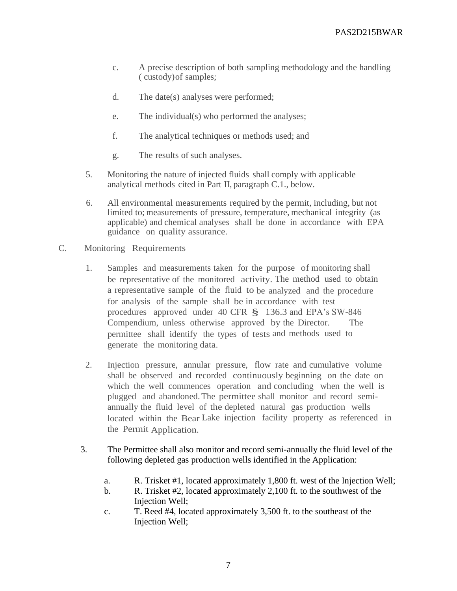- c. A precise description of both sampling methodology and the handling ( custody)of samples;
- d. The date(s) analyses were performed;
- e. The individual(s) who performed the analyses;
- f. The analytical techniques or methods used; and
- g. The results of such analyses.
- 5. Monitoring the nature of injected fluids shall comply with applicable analytical methods cited in Part II, paragraph C.1., below.
- 6. All environmental measurements required by the permit, including, but not limited to; measurements of pressure, temperature, mechanical integrity (as applicable) and chemical analyses shall be done in accordance with EPA guidance on quality assurance.
- C. Monitoring Requirements
	- 1. Samples and measurements taken for the purpose of monitoring shall be representative of the monitored activity. The method used to obtain a representative sample of the fluid to be analyzed and the procedure for analysis of the sample shall be in accordance with test procedures approved under <sup>40</sup> CFR § 136.3 and EPA's SW-846 Compendium, unless otherwise approved by the Director. The permittee shall identify the types of tests and methods used to generate the monitoring data.
	- 2. Injection pressure, annular pressure, flow rate and cumulative volume shall be observed and recorded continuously beginning on the date on which the well commences operation and concluding when the well is plugged and abandoned.The permittee shall monitor and record semiannually the fluid level of the depleted natural gas production wells located within the Bear Lake injection facility property as referenced in the Permit Application.
	- 3. The Permittee shall also monitor and record semi-annually the fluid level of the following depleted gas production wells identified in the Application:
		- a. R. Trisket #1, located approximately 1,800 ft. west of the Injection Well;
		- b. R. Trisket #2, located approximately 2,100 ft. to the southwest of the Injection Well;
		- c. T. Reed #4, located approximately 3,500 ft. to the southeast of the Injection Well;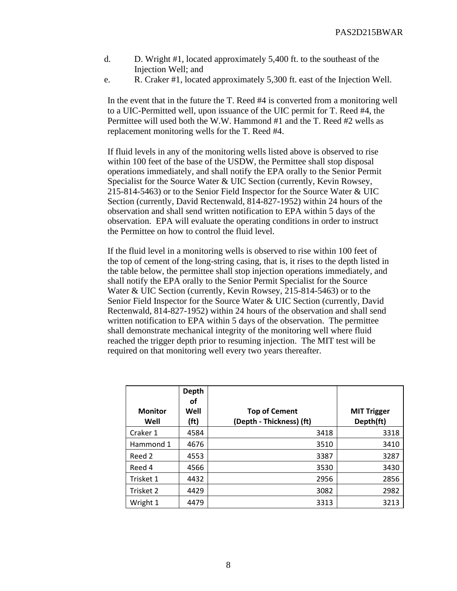- d. D. Wright #1, located approximately 5,400 ft. to the southeast of the Injection Well; and
- e. R. Craker #1, located approximately 5,300 ft. east of the Injection Well.

In the event that in the future the T. Reed #4 is converted from a monitoring well to a UIC-Permitted well, upon issuance of the UIC permit for T. Reed #4, the Permittee will used both the W.W. Hammond #1 and the T. Reed #2 wells as replacement monitoring wells for the T. Reed #4.

If fluid levels in any of the monitoring wells listed above is observed to rise within 100 feet of the base of the USDW, the Permittee shall stop disposal operations immediately, and shall notify the EPA orally to the Senior Permit Specialist for the Source Water & UIC Section (currently, Kevin Rowsey, 215-814-5463) or to the Senior Field Inspector for the Source Water & UIC Section (currently, David Rectenwald, 814-827-1952) within 24 hours of the observation and shall send written notification to EPA within 5 days of the observation. EPA will evaluate the operating conditions in order to instruct the Permittee on how to control the fluid level.

If the fluid level in a monitoring wells is observed to rise within 100 feet of the top of cement of the long-string casing, that is, it rises to the depth listed in the table below, the permittee shall stop injection operations immediately, and shall notify the EPA orally to the Senior Permit Specialist for the Source Water & UIC Section (currently, Kevin Rowsey, 215-814-5463) or to the Senior Field Inspector for the Source Water & UIC Section (currently, David Rectenwald, 814-827-1952) within 24 hours of the observation and shall send written notification to EPA within 5 days of the observation. The permittee shall demonstrate mechanical integrity of the monitoring well where fluid reached the trigger depth prior to resuming injection. The MIT test will be required on that monitoring well every two years thereafter.

|                        | <b>Depth</b><br>οf        |                                                  |                                 |
|------------------------|---------------------------|--------------------------------------------------|---------------------------------|
| <b>Monitor</b><br>Well | Well<br>(f <sup>t</sup> ) | <b>Top of Cement</b><br>(Depth - Thickness) (ft) | <b>MIT Trigger</b><br>Depth(ft) |
| Craker 1               | 4584                      | 3418                                             | 3318                            |
| Hammond 1              | 4676                      | 3510                                             | 3410                            |
| Reed 2                 | 4553                      | 3387                                             | 3287                            |
| Reed 4                 | 4566                      | 3530                                             | 3430                            |
| Trisket 1              | 4432                      | 2956                                             | 2856                            |
| Trisket 2              | 4429                      | 3082                                             | 2982                            |
| Wright 1               | 4479                      | 3313                                             | 3213                            |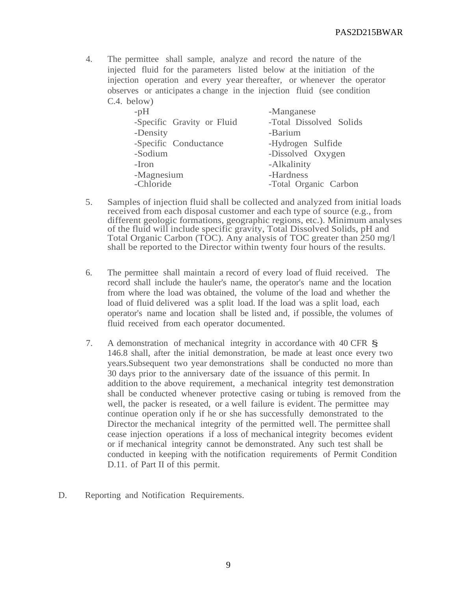4. The permittee shall sample, analyze and record the nature of the injected fluid for the parameters listed below at the initiation of the injection operation and every year thereafter, or whenever the operator observes or anticipates a change in the injection fluid (see condition C.4. below)

| $-pH$                      | -Manganese              |  |
|----------------------------|-------------------------|--|
| -Specific Gravity or Fluid | -Total Dissolved Solids |  |
| -Density                   | -Barium                 |  |
| -Specific Conductance      | -Hydrogen Sulfide       |  |
| -Sodium                    | -Dissolved Oxygen       |  |
| -Iron                      | -Alkalinity             |  |
| -Magnesium                 | -Hardness               |  |
| -Chloride                  | -Total Organic Carbon   |  |

- 5. Samples of injection fluid shall be collected and analyzed from initial loads received from each disposal customer and each type of source (e.g., from different geologic formations, geographic regions, etc.). Minimum analyses of the fluid will include specific gravity, Total Dissolved Solids, pH and Total Organic Carbon (TOC). Any analysis of TOC greater than 250 mg/l shall be reported to the Director within twenty four hours of the results.
- 6. The permittee shall maintain a record of every load of fluid received. The record shall include the hauler's name, the operator's name and the location from where the load was obtained, the volume of the load and whether the load of fluid delivered was a split load. If the load was a split load, each operator's name and location shall be listed and, if possible, the volumes of fluid received from each operator documented.
- 7. <sup>A</sup> demonstration of mechanical integrity in accordance with <sup>40</sup> CFR § 146.8 shall, after the initial demonstration, be made at least once every two years.Subsequent two year demonstrations shall be conducted no more than 30 days prior to the anniversary date of the issuance of this permit. In addition to the above requirement, a mechanical integrity test demonstration shall be conducted whenever protective casing or tubing is removed from the well, the packer is reseated, or a well failure is evident. The permittee may continue operation only if he or she has successfully demonstrated to the Director the mechanical integrity of the permitted well. The permittee shall cease injection operations if a loss of mechanical integrity becomes evident or if mechanical integrity cannot be demonstrated. Any such test shall be conducted in keeping with the notification requirements of Permit Condition D.11. of Part II of this permit.
- D. Reporting and Notification Requirements.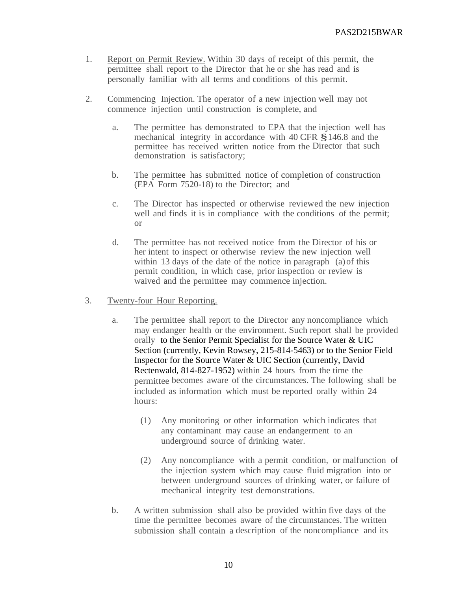- 1. Report on Permit Review. Within 30 days of receipt of this permit, the permittee shall report to the Director that he or she has read and is personally familiar with all terms and conditions of this permit.
- 2. Commencing Injection. The operator of a new injection well may not commence injection until construction is complete, and
	- a. The permittee has demonstrated to EPA that the injection well has mechanical integrity in accordance with <sup>40</sup> CFR §146.8 and the permittee has received written notice from the Director that such demonstration is satisfactory;
	- b. The permittee has submitted notice of completion of construction (EPA Form 7520-18) to the Director; and
	- c. The Director has inspected or otherwise reviewed the new injection well and finds it is in compliance with the conditions of the permit; or
	- d. The permittee has not received notice from the Director of his or her intent to inspect or otherwise review the new injection well within 13 days of the date of the notice in paragraph (a) of this permit condition, in which case, prior inspection or review is waived and the permittee may commence injection.
- 3. Twenty-four Hour Reporting.
	- a. The permittee shall report to the Director any noncompliance which may endanger health or the environment. Such report shall be provided orally to the Senior Permit Specialist for the Source Water & UIC Section (currently, Kevin Rowsey, 215-814-5463) or to the Senior Field Inspector for the Source Water & UIC Section (currently, David Rectenwald, 814-827-1952) within 24 hours from the time the permittee becomes aware of the circumstances. The following shall be included as information which must be reported orally within 24 hours:
		- (1) Any monitoring or other information which indicates that any contaminant may cause an endangerment to an underground source of drinking water.
		- (2) Any noncompliance with a permit condition, or malfunction of the injection system which may cause fluid migration into or between underground sources of drinking water, or failure of mechanical integrity test demonstrations.
	- b. A written submission shall also be provided within five days of the time the permittee becomes aware of the circumstances. The written submission shall contain a description of the noncompliance and its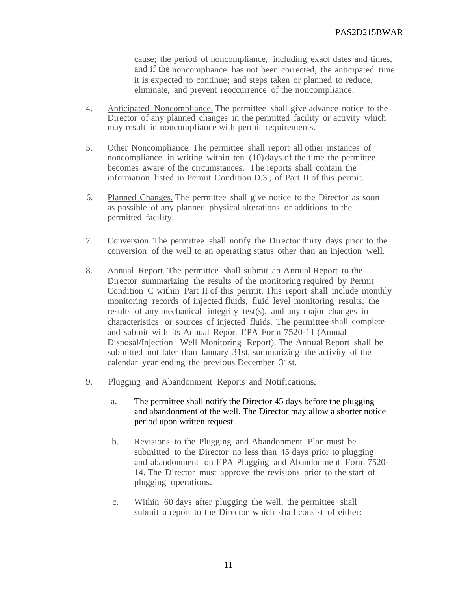cause; the period of noncompliance, including exact dates and times, and if the noncompliance has not been corrected, the anticipated time it is expected to continue; and steps taken or planned to reduce, eliminate, and prevent reoccurrence of the noncompliance.

- 4. Anticipated Noncompliance. The permittee shall give advance notice to the Director of any planned changes in the permitted facility or activity which may result in noncompliance with permit requirements.
- 5. Other Noncompliance. The permittee shall report all other instances of noncompliance in writing within ten  $(10)$  days of the time the permittee becomes aware of the circumstances. The reports shall contain the information listed in Permit Condition D.3., of Part II of this permit.
- 6. Planned Changes. The permittee shall give notice to the Director as soon as possible of any planned physical alterations or additions to the permitted facility.
- 7. Conversion. The permittee shall notify the Director thirty days prior to the conversion of the well to an operating status other than an injection well.
- 8. Annual Report. The permittee shall submit an Annual Report to the Director summarizing the results of the monitoring required by Permit Condition C within Part II of this permit. This report shall include monthly monitoring records of injected fluids, fluid level monitoring results, the results of any mechanical integrity test(s), and any major changes in characteristics or sources of injected fluids. The permittee shall complete and submit with its Annual Report EPA Form 7520-11 (Annual Disposal/Injection Well Monitoring Report). The Annual Report shall be submitted not later than January 31st, summarizing the activity of the calendar year ending the previous December 31st.
- 9. Plugging and Abandonment Reports and Notifications.
	- a. The permittee shall notify the Director 45 days before the plugging and abandonment of the well. The Director may allow a shorter notice period upon written request.
	- b. Revisions to the Plugging and Abandonment Plan must be submitted to the Director no less than 45 days prior to plugging and abandonment on EPA Plugging and Abandonment Form 7520- 14. The Director must approve the revisions prior to the start of plugging operations.
	- c. Within 60 days after plugging the well, the permittee shall submit a report to the Director which shall consist of either: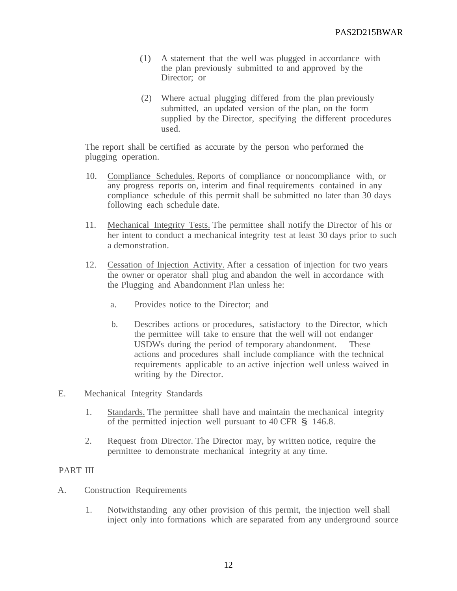- .(1) A statement that the well was plugged in accordance with the plan previously submitted to and approved by the Director: or
- (2) Where actual plugging differed from the plan previously submitted, an updated version of the plan, on the form supplied by the Director, specifying the different procedures used.

The report shall be certified as accurate by the person who performed the plugging operation.

- 10. Compliance Schedules. Reports of compliance or noncompliance with, or any progress reports on, interim and final requirements contained in any compliance schedule of this permit shall be submitted no later than 30 days. following each schedule date.
- 11. Mechanical Integrity Tests. The permittee shall notify the Director of his or her intent to conduct a mechanical integrity test at least 30 days prior to such a demonstration.
- 12. Cessation of Injection Activity. After a cessation of injection for two years the owner or operator shall plug and abandon the well in accordance with the Plugging and Abandonment Plan unless he:
	- a. Provides notice to the Director; and
	- b. Describes actions or procedures, satisfactory to the Director, which the permittee will take to ensure that the well will not endanger USDWs during the period of temporary abandonment. These actions and procedures shall include compliance with the technical requirements applicable to an active injection well unless waived in writing by the Director.
- E. Mechanical Integrity Standards
	- 1. Standards. The permittee shall have and maintain the mechanical integrity of the permitted injection well pursuant to <sup>40</sup> CFR § 146.8.
	- 2. Request from Director. The Director may, by written notice, require the permittee to demonstrate mechanical integrity at any time.

## PART III

- A. Construction Requirements
	- 1. Notwithstanding any other provision of this permit, the injection well shall inject only into formations which are separated from any underground source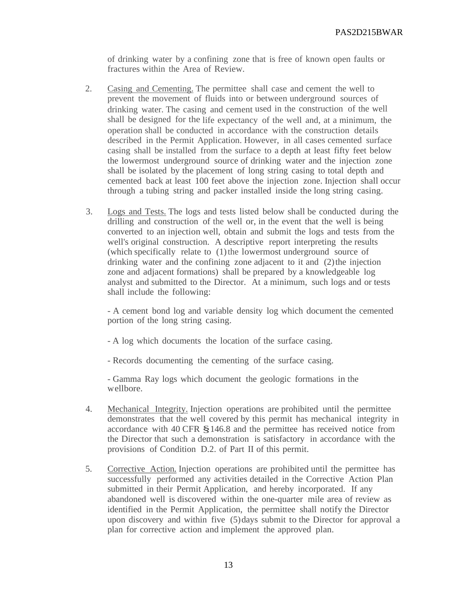of drinking water by a confining zone that is free of known open faults or fractures within the Area of Review.

- 2. Casing and Cementing. The permittee shall case and cement the well to prevent the movement of fluids into or between underground sources of drinking water. The casing and cement used in the construction of the well shall be designed for the life expectancy of the well and, at a minimum, the operation shall be conducted in accordance with the construction details described in the Permit Application. However, in all cases cemented surface casing shall be installed from the surface to a depth at least fifty feet below the lowermost underground source of drinking water and the injection zone shall be isolated by the placement of long string casing to total depth and cemented back at least 100 feet above the injection zone. Injection shall occur through a tubing string and packer installed inside the long string casing.
- 3. Logs and Tests. The logs and tests listed below shall be conducted during the drilling and construction of the well or, in the event that the well is being converted to an injection well, obtain and submit the logs and tests from the well's original construction. A descriptive report interpreting the results (which specifically relate to (1)the lowermost underground source of drinking water and the confining zone adjacent to it and (2) the injection zone and adjacent formations) shall be prepared by a knowledgeable log analyst and submitted to the Director. At a minimum, such logs and or tests shall include the following:

- A cement bond log and variable density log which document the cemented portion of the long string casing.

- A log which documents the location of the surface casing.

- Records documenting the cementing of the surface casing.

- Gamma Ray logs which document the geologic formations in the wellbore.

- 4. Mechanical Integrity. Injection operations are prohibited until the permittee demonstrates that the well covered by this permit has mechanical integrity in accordance with <sup>40</sup> CFR §146.8 and the permittee has received notice from the Director that such a demonstration is satisfactory in accordance with the provisions of Condition D.2. of Part II of this permit.
- 5. Corrective Action. Injection operations are prohibited until the permittee has successfully performed any activities detailed in the Corrective Action Plan submitted in their Permit Application, and hereby incorporated. If any abandoned well is discovered within the one-quarter mile area of review as identified in the Permit Application, the permittee shall notify the Director upon discovery and within five (5)days submit to the Director for approval a plan for corrective action and implement the approved plan.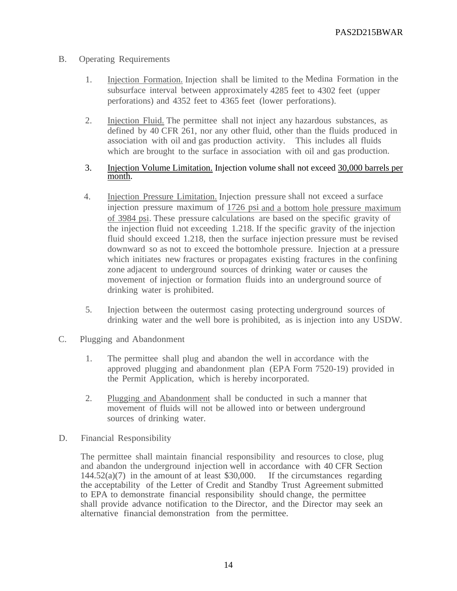- B. Operating Requirements
	- 1. Injection Formation. Injection shall be limited to the Medina Formation in the subsurface interval between approximately 4285 feet to 4302 feet (upper perforations) and 4352 feet to 4365 feet (lower perforations).
	- 2. Injection Fluid. The permittee shall not inject any hazardous substances, as defined by 40 CFR 261, nor any other fluid, other than the fluids produced in association with oil and gas production activity. This includes all fluids which are brought to the surface in association with oil and gas production.

#### 3. Injection Volume Limitation. Injection volume shall not exceed 30,000 barrels per month.

- 4. Injection Pressure Limitation. Injection pressure shall not exceed a surface injection pressure maximum of 1726 psi and a bottom hole pressure maximum of 3984 psi. These pressure calculations are based on the specific gravity of the injection fluid not exceeding 1.218. If the specific gravity of the injection fluid should exceed 1.218, then the surface injection pressure must be revised downward so as not to exceed the bottomhole pressure. Injection at a pressure which initiates new fractures or propagates existing fractures in the confining zone adjacent to underground sources of drinking water or causes the movement of injection or formation fluids into an underground source of drinking water is prohibited.
- 5. Injection between the outermost casing protecting underground sources of drinking water and the well bore is prohibited, as is injection into any USDW.
- C. Plugging and Abandonment
	- 1. The permittee shall plug and abandon the well in accordance with the approved plugging and abandonment plan (EPA Form 7520-19) provided in the Permit Application, which is hereby incorporated.
	- 2. Plugging and Abandonment shall be conducted in such a manner that movement of fluids will not be allowed into or between underground sources of drinking water.
- D. Financial Responsibility

The permittee shall maintain financial responsibility and resources to close, plug and abandon the underground injection well in accordance with 40 CFR Section  $144.52(a)(7)$  in the amount of at least \$30,000. If the circumstances regarding the acceptability of the Letter of Credit and Standby Trust Agreement submitted to EPA to demonstrate financial responsibility should change, the permittee shall provide advance notification to the Director, and the Director may seek an alternative financial demonstration from the permittee.